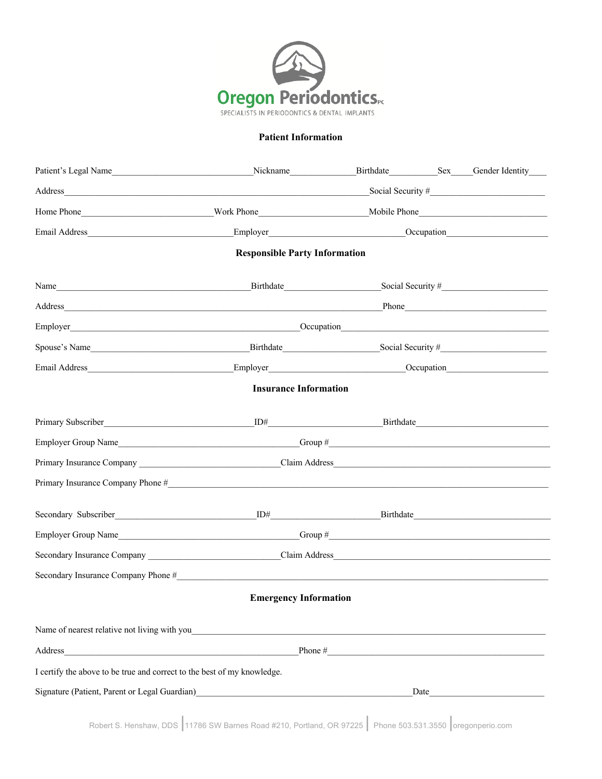

### **Patient Information**

| Address and the contract of the contract of the contract of the contract of the contract of the contract of the contract of the contract of the contract of the contract of the contract of the contract of the contract of th   |                                                                                                                                                                                                                                |                                                                                                                                                                                                                                  |  |                   |
|----------------------------------------------------------------------------------------------------------------------------------------------------------------------------------------------------------------------------------|--------------------------------------------------------------------------------------------------------------------------------------------------------------------------------------------------------------------------------|----------------------------------------------------------------------------------------------------------------------------------------------------------------------------------------------------------------------------------|--|-------------------|
|                                                                                                                                                                                                                                  |                                                                                                                                                                                                                                |                                                                                                                                                                                                                                  |  |                   |
|                                                                                                                                                                                                                                  |                                                                                                                                                                                                                                | Employer<br>Cocupation Cocupation Cocupation Cocupation Cocupation Cocupation Cocupation Cocupation Cocupation Cocupation Cocupation Cocupation Cocupation Cocupation Cocupation Cocupation Cocupation Cocupation Cocupation Coc |  |                   |
|                                                                                                                                                                                                                                  | <b>Responsible Party Information</b>                                                                                                                                                                                           |                                                                                                                                                                                                                                  |  |                   |
|                                                                                                                                                                                                                                  | Birthdate <b>Exercise Services</b>                                                                                                                                                                                             |                                                                                                                                                                                                                                  |  | Social Security # |
|                                                                                                                                                                                                                                  | Address Phone Phone Phone Phone Phone Phone Phone Phone Phone Phone Phone Phone Phone Phone Phone Phone Phone Phone Phone Phone Phone Phone Phone Phone Phone Phone Phone Phone Phone Phone Phone Phone Phone Phone Phone Phon |                                                                                                                                                                                                                                  |  |                   |
|                                                                                                                                                                                                                                  |                                                                                                                                                                                                                                |                                                                                                                                                                                                                                  |  |                   |
|                                                                                                                                                                                                                                  |                                                                                                                                                                                                                                | Spouse's Name Spouse's Name Spouse's Name Spouse's Name Spouse's Name Spouse's Name Spouse's Name Spouse's Name Spouse's Name Spouse's Name Spouse's Name Spouse's Name Spouse's Name Spouse's Name Spouse's Name Spouse's Nam   |  |                   |
|                                                                                                                                                                                                                                  |                                                                                                                                                                                                                                | Employer Cocupation Contract Cocupation                                                                                                                                                                                          |  |                   |
|                                                                                                                                                                                                                                  | <b>Insurance Information</b>                                                                                                                                                                                                   |                                                                                                                                                                                                                                  |  |                   |
|                                                                                                                                                                                                                                  |                                                                                                                                                                                                                                |                                                                                                                                                                                                                                  |  |                   |
|                                                                                                                                                                                                                                  | Employer Group Name Group Computer Computer Computer Computer Computer Computer Computer Computer Computer Computer Computer Computer Computer Computer Computer Computer Computer Computer Computer Computer Computer Compute |                                                                                                                                                                                                                                  |  |                   |
|                                                                                                                                                                                                                                  |                                                                                                                                                                                                                                |                                                                                                                                                                                                                                  |  |                   |
|                                                                                                                                                                                                                                  |                                                                                                                                                                                                                                |                                                                                                                                                                                                                                  |  |                   |
| Secondary Subscriber 10 methods and 10 methods and 10 methods and 10 methods and 10 methods and 10 methods and 10 methods and 10 methods and 10 methods and 10 methods and 10 methods and 10 methods and 10 methods and 10 met   |                                                                                                                                                                                                                                |                                                                                                                                                                                                                                  |  |                   |
|                                                                                                                                                                                                                                  |                                                                                                                                                                                                                                |                                                                                                                                                                                                                                  |  |                   |
|                                                                                                                                                                                                                                  |                                                                                                                                                                                                                                |                                                                                                                                                                                                                                  |  |                   |
|                                                                                                                                                                                                                                  |                                                                                                                                                                                                                                |                                                                                                                                                                                                                                  |  |                   |
|                                                                                                                                                                                                                                  | <b>Emergency Information</b>                                                                                                                                                                                                   |                                                                                                                                                                                                                                  |  |                   |
| Name of nearest relative not living with you_                                                                                                                                                                                    |                                                                                                                                                                                                                                |                                                                                                                                                                                                                                  |  |                   |
|                                                                                                                                                                                                                                  |                                                                                                                                                                                                                                | Phone # $\qquad \qquad$                                                                                                                                                                                                          |  |                   |
| I certify the above to be true and correct to the best of my knowledge.                                                                                                                                                          |                                                                                                                                                                                                                                |                                                                                                                                                                                                                                  |  |                   |
| Signature (Patient, Parent or Legal Guardian)<br>and Container and Container and Container and Container and Container and Container and Container and Container and Container and Container and Container and Container and Con |                                                                                                                                                                                                                                |                                                                                                                                                                                                                                  |  |                   |
| the control of the control of the                                                                                                                                                                                                |                                                                                                                                                                                                                                |                                                                                                                                                                                                                                  |  |                   |

Robert S. Henshaw, DDS 11786 SW Barnes Road #210, Portland, OR 97225 | Phone 503.531.3550 | oregonperio.com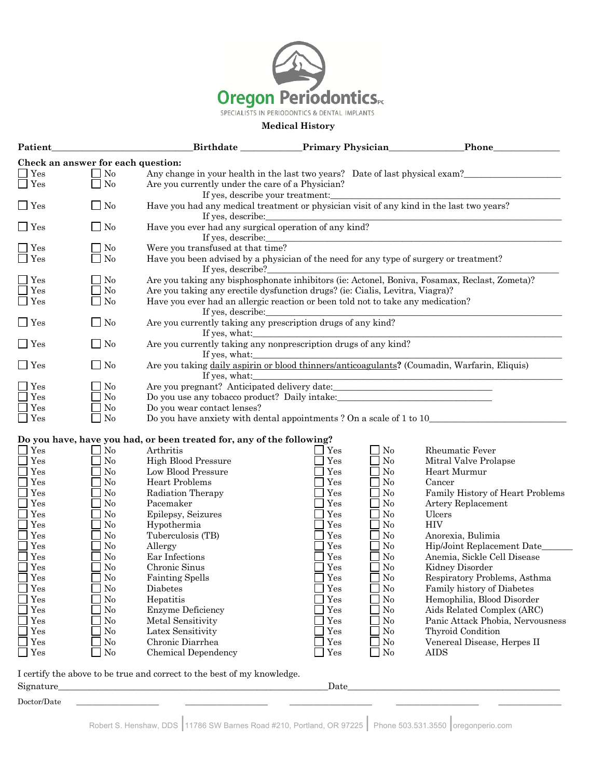

#### **Medical History**

| Patient                            |                | Birthdate Primary Physician                                                                                   |     |          | Phone                            |
|------------------------------------|----------------|---------------------------------------------------------------------------------------------------------------|-----|----------|----------------------------------|
| Check an answer for each question: |                |                                                                                                               |     |          |                                  |
| $\Box$ Yes                         | $\Box$ No      | Any change in your health in the last two years? Date of last physical exam?                                  |     |          |                                  |
| $\Box$ Yes                         | $\Box$ No      | Are you currently under the care of a Physician?<br>If yes, describe your treatment:                          |     |          |                                  |
| $\Box$ Yes                         | $\square$ No   | Have you had any medical treatment or physician visit of any kind in the last two years?<br>If yes, describe: |     |          |                                  |
| $\Box$ Yes                         | $\Box$ No      | Have you ever had any surgical operation of any kind?<br>If yes, describe:                                    |     |          |                                  |
| $\Box$ Yes                         | $\Box$ No      | Were you transfused at that time?                                                                             |     |          |                                  |
| Yes                                | N <sub>o</sub> | Have you been advised by a physician of the need for any type of surgery or treatment?<br>If yes, describe?   |     |          |                                  |
| Yes                                | $\Box$ No      | Are you taking any bisphosphonate inhibitors (ie: Actonel, Boniva, Fosamax, Reclast, Zometa)?                 |     |          |                                  |
| Yes                                | $\Box$ No      | Are you taking any erectile dysfunction drugs? (ie: Cialis, Levitra, Viagra)?                                 |     |          |                                  |
| Yes                                | $\Box$ No      | Have you ever had an allergic reaction or been told not to take any medication?<br>If yes, describe:          |     |          |                                  |
| $\Box$ Yes                         | $\Box$ No      | Are you currently taking any prescription drugs of any kind?<br>If yes, what:                                 |     |          |                                  |
| $\Box$ Yes                         | $\Box$ No      | Are you currently taking any nonprescription drugs of any kind?<br>If yes, what:                              |     |          |                                  |
| $\Box$ Yes                         | $\square$ No   | Are you taking daily aspirin or blood thinners/anticoagulants? (Coumadin, Warfarin, Eliquis)<br>If yes, what: |     |          |                                  |
| Yes                                | $\Box$ No      |                                                                                                               |     |          |                                  |
| Yes                                | $\Box$ No      | Do you use any tobacco product? Daily intake: __________________________________                              |     |          |                                  |
| Yes                                | No             | Do you wear contact lenses?                                                                                   |     |          |                                  |
| $\square$ Yes                      | $\Box$ No      | Do you have anxiety with dental appointments? On a scale of 1 to 10                                           |     |          |                                  |
|                                    |                | Do you have, have you had, or been treated for, any of the following?                                         |     |          |                                  |
| Yes                                | $\Box$ No      | Arthritis                                                                                                     | Yes | No       | Rheumatic Fever                  |
| Yes                                | No             | <b>High Blood Pressure</b>                                                                                    | Yes | $\rm No$ | Mitral Valve Prolapse            |
| Yes                                | No             | Low Blood Pressure                                                                                            | Yes | No       | Heart Murmur                     |
| Yes                                | No             | <b>Heart Problems</b>                                                                                         | Yes | No       | Cancer                           |
| Yes                                | No             | Radiation Therapy                                                                                             | Yes | No       | Family History of Heart Problems |
| Yes                                | No             | Pacemaker                                                                                                     | Yes | No       | Artery Replacement               |
| Yes                                | No             | Epilepsy, Seizures                                                                                            | Yes | No       | Ulcers                           |
| Yes                                | No             | Hypothermia                                                                                                   | Yes | No       | <b>HIV</b>                       |
| Yes                                | No             | Tuberculosis (TB)                                                                                             | Yes | No       | Anorexia, Bulimia                |
| Yes                                | No             | Allergy                                                                                                       | Yes | No       | Hip/Joint Replacement Date       |
| Yes                                | No             | Ear Infections                                                                                                | Yes | No       | Anemia, Sickle Cell Disease      |
| Yes                                | No             | Chronic Sinus                                                                                                 | Yes | No       | Kidney Disorder                  |
| Yes                                | No             | <b>Fainting Spells</b>                                                                                        | Yes | No       | Respiratory Problems, Asthma     |
| Yes                                | $\rm No$       | Diabetes                                                                                                      | Yes | $\rm No$ | Family history of Diabetes       |
| Yes                                | No             | Hepatitis                                                                                                     | Yes | $\rm No$ | Hemophilia, Blood Disorder       |
| Yes                                | No             | <b>Enzyme Deficiency</b>                                                                                      | Yes | No       | Aids Related Complex (ARC)       |
| Yes                                | No             | Metal Sensitivity                                                                                             | Yes | No       | Panic Attack Phobia, Nervousness |
| Yes                                | No             | Latex Sensitivity                                                                                             | Yes | No       | Thyroid Condition                |
| Yes                                | No             | Chronic Diarrhea                                                                                              | Yes | No       | Venereal Disease, Herpes II      |
| Yes                                | $\exists$ No   | Chemical Dependency                                                                                           | Yes | No       | <b>AIDS</b>                      |

I certify the above to be true and correct to the best of my knowledge.

 $\text{Stage} \rightarrow \text{Value}$  $\rm Doctor/Date$   $\qquad \qquad \qquad \qquad \qquad \qquad \qquad \qquad$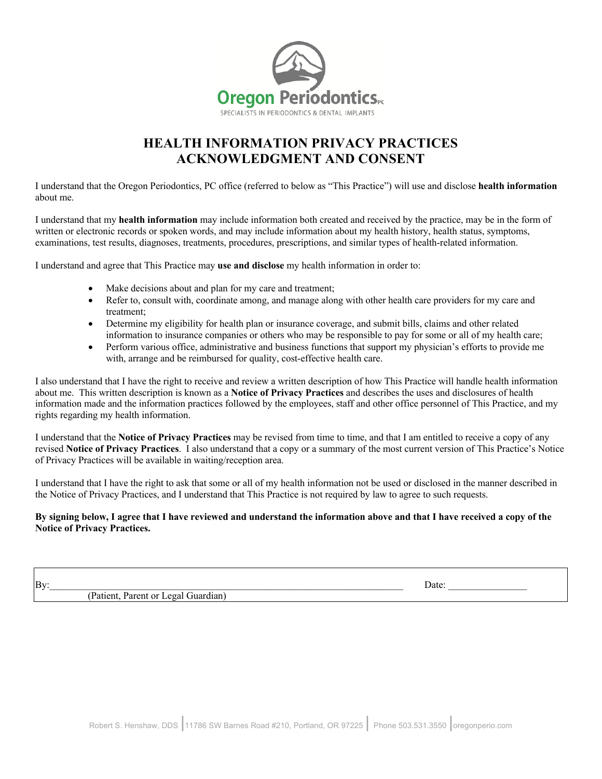

# **HEALTH INFORMATION PRIVACY PRACTICES ACKNOWLEDGMENT AND CONSENT**

I understand that the Oregon Periodontics, PC office (referred to below as "This Practice") will use and disclose **health information** about me.

I understand that my **health information** may include information both created and received by the practice, may be in the form of written or electronic records or spoken words, and may include information about my health history, health status, symptoms, examinations, test results, diagnoses, treatments, procedures, prescriptions, and similar types of health-related information.

I understand and agree that This Practice may **use and disclose** my health information in order to:

- Make decisions about and plan for my care and treatment;
- Refer to, consult with, coordinate among, and manage along with other health care providers for my care and treatment;
- Determine my eligibility for health plan or insurance coverage, and submit bills, claims and other related information to insurance companies or others who may be responsible to pay for some or all of my health care;
- Perform various office, administrative and business functions that support my physician's efforts to provide me with, arrange and be reimbursed for quality, cost-effective health care.

I also understand that I have the right to receive and review a written description of how This Practice will handle health information about me. This written description is known as a **Notice of Privacy Practices** and describes the uses and disclosures of health information made and the information practices followed by the employees, staff and other office personnel of This Practice, and my rights regarding my health information.

I understand that the **Notice of Privacy Practices** may be revised from time to time, and that I am entitled to receive a copy of any revised **Notice of Privacy Practices**. I also understand that a copy or a summary of the most current version of This Practice's Notice of Privacy Practices will be available in waiting/reception area.

I understand that I have the right to ask that some or all of my health information not be used or disclosed in the manner described in the Notice of Privacy Practices, and I understand that This Practice is not required by law to agree to such requests.

### **By signing below, I agree that I have reviewed and understand the information above and that I have received a copy of the Notice of Privacy Practices.**

By: The contract of the contract of the contract of the contract of the contract of the contract of the contract of the contract of the contract of the contract of the contract of the contract of the contract of the contra (Patient, Parent or Legal Guardian)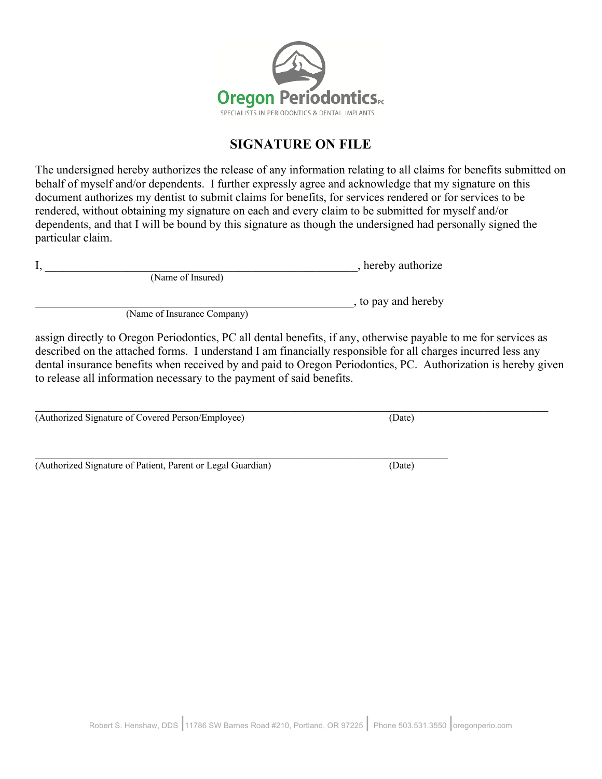

# **SIGNATURE ON FILE**

The undersigned hereby authorizes the release of any information relating to all claims for benefits submitted on behalf of myself and/or dependents. I further expressly agree and acknowledge that my signature on this document authorizes my dentist to submit claims for benefits, for services rendered or for services to be rendered, without obtaining my signature on each and every claim to be submitted for myself and/or dependents, and that I will be bound by this signature as though the undersigned had personally signed the particular claim.

I, the example of the state of the state of the state of the state of the state of the state of the state of the state of the state of the state of the state of the state of the state of the state of the state of the state (Name of Insured)

\_\_\_\_\_\_\_\_\_\_\_\_\_\_\_\_\_\_\_\_\_\_\_\_\_\_\_\_\_\_\_\_\_\_\_\_\_\_\_\_\_\_\_\_\_\_\_\_\_\_\_\_\_\_, to pay and hereby

(Name of Insurance Company)

assign directly to Oregon Periodontics, PC all dental benefits, if any, otherwise payable to me for services as described on the attached forms. I understand I am financially responsible for all charges incurred less any dental insurance benefits when received by and paid to Oregon Periodontics, PC. Authorization is hereby given to release all information necessary to the payment of said benefits.

(Authorized Signature of Covered Person/Employee) (Date)

(Authorized Signature of Patient, Parent or Legal Guardian) (Date)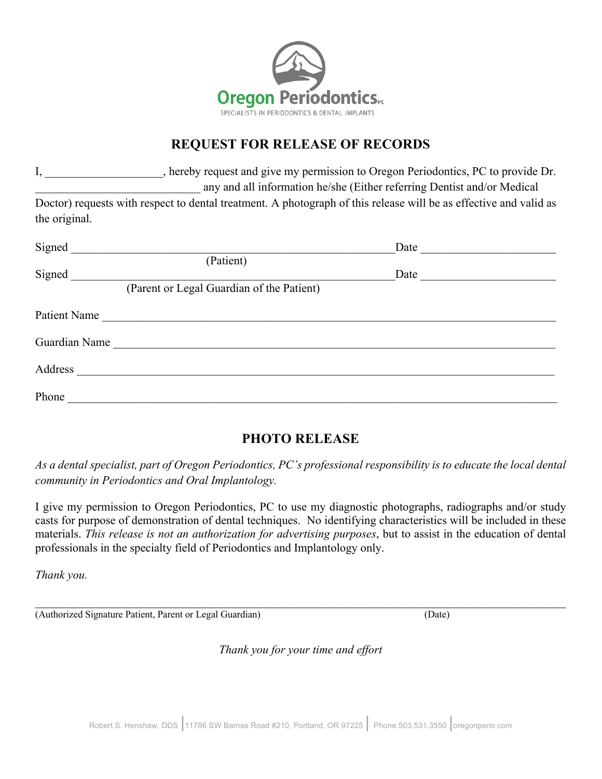

# **REQUEST FOR RELEASE OF RECORDS**

|               |                                           | , hereby request and give my permission to Oregon Periodontics, PC to provide Dr.                                 |
|---------------|-------------------------------------------|-------------------------------------------------------------------------------------------------------------------|
|               |                                           | any and all information he/she (Either referring Dentist and/or Medical                                           |
|               |                                           | Doctor) requests with respect to dental treatment. A photograph of this release will be as effective and valid as |
| the original. |                                           |                                                                                                                   |
| Signed        |                                           | Date                                                                                                              |
|               | (Patient)                                 |                                                                                                                   |
| Signed        |                                           | Date                                                                                                              |
|               | (Parent or Legal Guardian of the Patient) |                                                                                                                   |

| Patient Name  |
|---------------|
| Guardian Name |
| Address       |
| Phone         |

# **PHOTO RELEASE**

*As a dental specialist, part of Oregon Periodontics, PC's professional responsibility is to educate the local dental community in Periodontics and Oral Implantology.*

I give my permission to Oregon Periodontics, PC to use my diagnostic photographs, radiographs and/or study casts for purpose of demonstration of dental techniques. No identifying characteristics will be included in these materials. *This release is not an authorization for advertising purposes*, but to assist in the education of dental professionals in the specialty field of Periodontics and Implantology only.

*Thank you.*

(Authorized Signature Patient, Parent or Legal Guardian) (Date)

*Thank you for your time and effort*